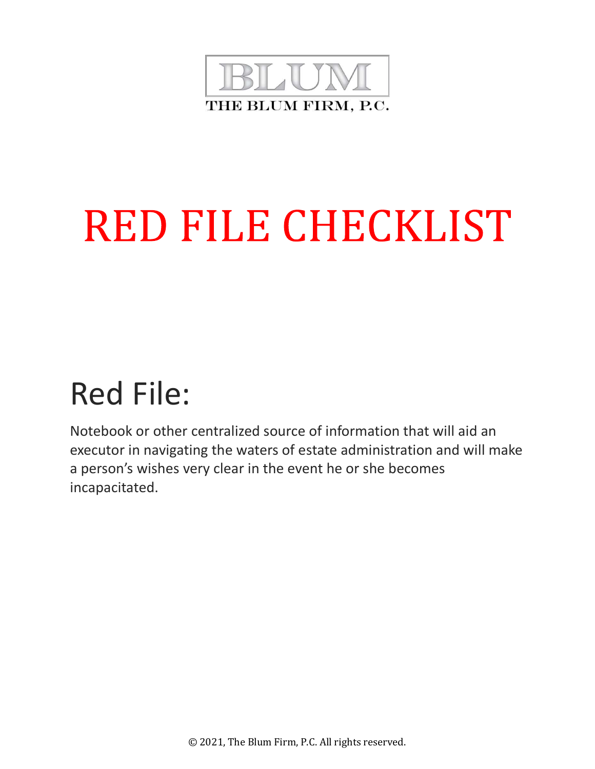

# **RED FILE CHECKLIST**

## Red File:

Notebook or other centralized source of information that will aid an executor in navigating the waters of estate administration and will make a person's wishes very clear in the event he or she becomes incapacitated.

© 2021, The Blum Firm, P.C. All rights reserved.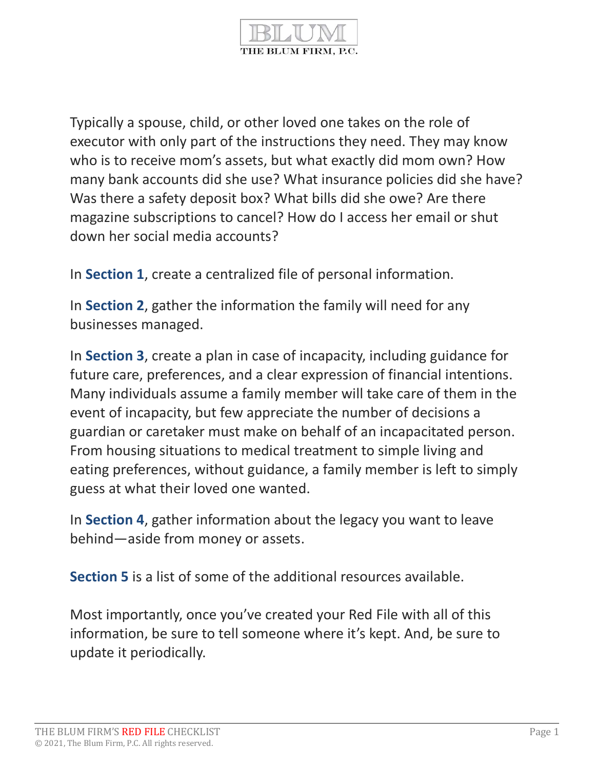

Typically a spouse, child, or other loved one takes on the role of executor with only part of the instructions they need. They may know who is to receive mom's assets, but what exactly did mom own? How many bank accounts did she use? What insurance policies did she have? Was there a safety deposit box? What bills did she owe? Are there magazine subscriptions to cancel? How do I access her email or shut down her social media accounts?

In Section 1, create a centralized file of personal information.

In Section 2, gather the information the family will need for any businesses managed.

In Section 3, create a plan in case of incapacity, including guidance for future care, preferences, and a clear expression of financial intentions. Many individuals assume a family member will take care of them in the event of incapacity, but few appreciate the number of decisions a guardian or caretaker must make on behalf of an incapacitated person. From housing situations to medical treatment to simple living and eating preferences, without guidance, a family member is left to simply guess at what their loved one wanted.

In Section 4, gather information about the legacy you want to leave behind—aside from money or assets.

Section 5 is a list of some of the additional resources available.

Most importantly, once you've created your Red File with all of this information, be sure to tell someone where it's kept. And, be sure to update it periodically.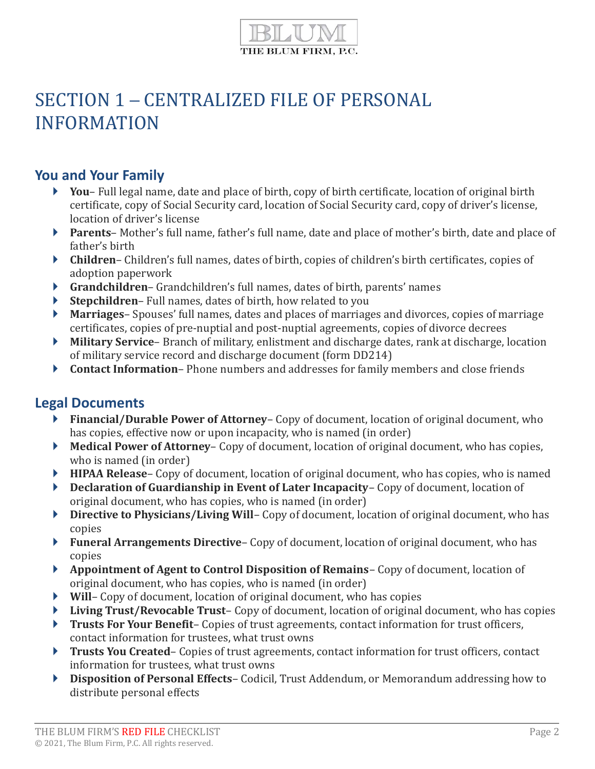

## SECTION 1 – CENTRALIZED FILE OF PERSONAL INFORMATION

## You and Your Family

- ▶ You– Full legal name, date and place of birth, copy of birth certificate, location of original birth certificate, copy of Social Security card, location of Social Security card, copy of driver's license, location of driver's license
- ▶ Parents– Mother's full name, father's full name, date and place of mother's birth, date and place of father's birth
- Children– Children's full names, dates of birth, copies of children's birth certificates, copies of adoption paperwork
- Grandchildren– Grandchildren's full names, dates of birth, parents' names
- Stepchildren– Full names, dates of birth, how related to you
- ▶ Marriages– Spouses' full names, dates and places of marriages and divorces, copies of marriage certificates, copies of pre-nuptial and post-nuptial agreements, copies of divorce decrees
- ▶ Military Service– Branch of military, enlistment and discharge dates, rank at discharge, location of military service record and discharge document (form DD214)
- Contact Information– Phone numbers and addresses for family members and close friends

## Legal Documents

- ▶ Financial/Durable Power of Attorney– Copy of document, location of original document, who has copies, effective now or upon incapacity, who is named (in order)
- Medical Power of Attorney– Copy of document, location of original document, who has copies, who is named (in order)
- HIPAA Release– Copy of document, location of original document, who has copies, who is named
- ▶ Declaration of Guardianship in Event of Later Incapacity– Copy of document, location of original document, who has copies, who is named (in order)
- ▶ Directive to Physicians/Living Will– Copy of document, location of original document, who has copies
- **Funeral Arrangements Directive** Copy of document, location of original document, who has copies
- ▶ Appointment of Agent to Control Disposition of Remains– Copy of document, location of original document, who has copies, who is named (in order)
- ▶ Will– Copy of document, location of original document, who has copies
- **Living Trust/Revocable Trust** Copy of document, location of original document, who has copies
- Trusts For Your Benefit– Copies of trust agreements, contact information for trust officers, contact information for trustees, what trust owns
- Trusts You Created-Copies of trust agreements, contact information for trust officers, contact information for trustees, what trust owns
- ▶ Disposition of Personal Effects– Codicil, Trust Addendum, or Memorandum addressing how to distribute personal effects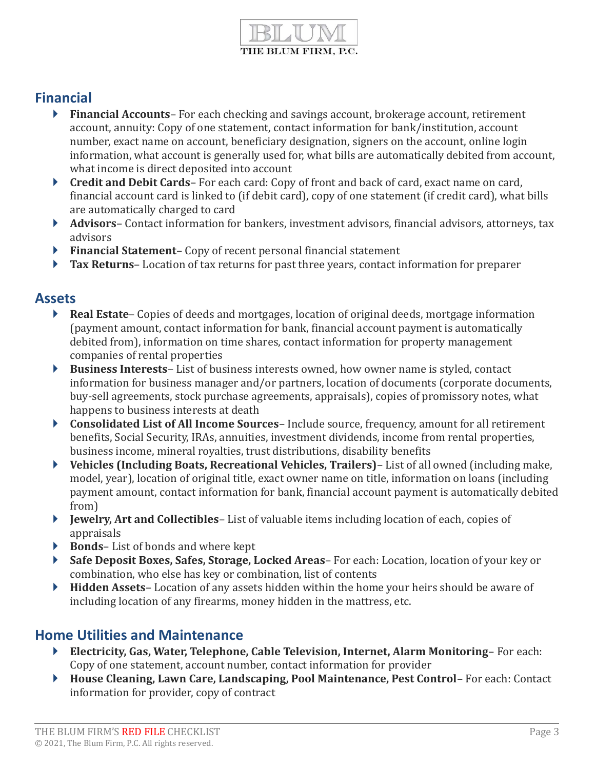

## Financial

- **Financial Accounts** For each checking and savings account, brokerage account, retirement account, annuity: Copy of one statement, contact information for bank/institution, account number, exact name on account, beneficiary designation, signers on the account, online login information, what account is generally used for, what bills are automatically debited from account, what income is direct deposited into account
- ▶ Credit and Debit Cards– For each card: Copy of front and back of card, exact name on card, financial account card is linked to (if debit card), copy of one statement (if credit card), what bills are automatically charged to card
- ▶ **Advisors** Contact information for bankers, investment advisors, financial advisors, attorneys, tax advisors
- ▶ Financial Statement– Copy of recent personal financial statement
- Tax Returns– Location of tax returns for past three years, contact information for preparer

#### Assets

- ▶ Real Estate– Copies of deeds and mortgages, location of original deeds, mortgage information (payment amount, contact information for bank, financial account payment is automatically debited from), information on time shares, contact information for property management companies of rental properties
- Business Interests– List of business interests owned, how owner name is styled, contact information for business manager and/or partners, location of documents (corporate documents, buy-sell agreements, stock purchase agreements, appraisals), copies of promissory notes, what happens to business interests at death
- ▶ Consolidated List of All Income Sources– Include source, frequency, amount for all retirement benefits, Social Security, IRAs, annuities, investment dividends, income from rental properties, business income, mineral royalties, trust distributions, disability benefits
- Vehicles (Including Boats, Recreational Vehicles, Trailers)– List of all owned (including make, model, year), location of original title, exact owner name on title, information on loans (including payment amount, contact information for bank, financial account payment is automatically debited from)
- Jewelry, Art and Collectibles– List of valuable items including location of each, copies of appraisals
- $\triangleright$  Bonds–List of bonds and where kept
- Safe Deposit Boxes, Safes, Storage, Locked Areas– For each: Location, location of your key or combination, who else has key or combination, list of contents
- ▶ Hidden Assets– Location of any assets hidden within the home your heirs should be aware of including location of any firearms, money hidden in the mattress, etc.

## Home Utilities and Maintenance

- Electricity, Gas, Water, Telephone, Cable Television, Internet, Alarm Monitoring– For each: Copy of one statement, account number, contact information for provider
- ▶ House Cleaning, Lawn Care, Landscaping, Pool Maintenance, Pest Control– For each: Contact information for provider, copy of contract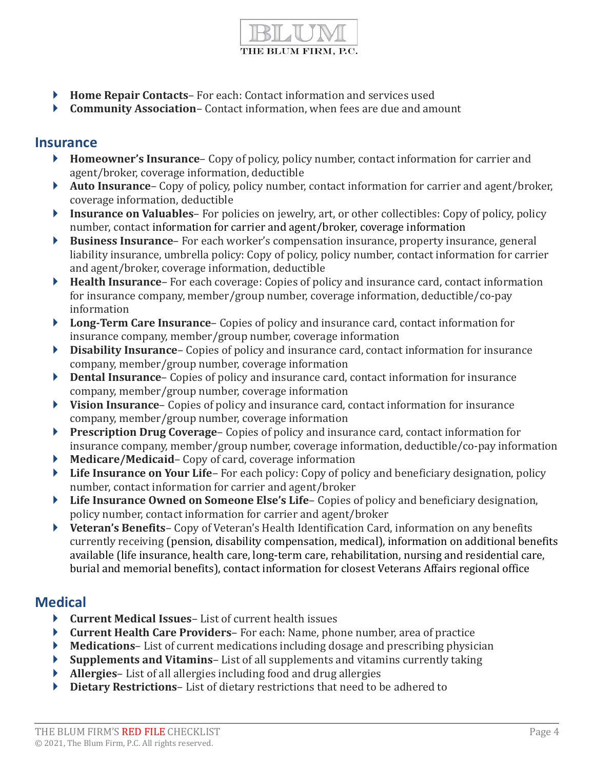

- ▶ Home Repair Contacts-For each: Contact information and services used
- ▶ Community Association– Contact information, when fees are due and amount

#### Insurance

- ▶ Homeowner's Insurance– Copy of policy, policy number, contact information for carrier and agent/broker, coverage information, deductible
- Auto Insurance– Copy of policy, policy number, contact information for carrier and agent/broker, coverage information, deductible
- **Insurance on Valuables** For policies on jewelry, art, or other collectibles: Copy of policy, policy number, contact information for carrier and agent/broker, coverage information
- Business Insurance– For each worker's compensation insurance, property insurance, general liability insurance, umbrella policy: Copy of policy, policy number, contact information for carrier and agent/broker, coverage information, deductible
- ▶ Health Insurance– For each coverage: Copies of policy and insurance card, contact information for insurance company, member/group number, coverage information, deductible/co-pay information
- ▶ Long-Term Care Insurance– Copies of policy and insurance card, contact information for insurance company, member/group number, coverage information
- Disability Insurance– Copies of policy and insurance card, contact information for insurance company, member/group number, coverage information
- ▶ Dental Insurance– Copies of policy and insurance card, contact information for insurance company, member/group number, coverage information
- ▶ Vision Insurance– Copies of policy and insurance card, contact information for insurance company, member/group number, coverage information
- **Prescription Drug Coverage** Copies of policy and insurance card, contact information for insurance company, member/group number, coverage information, deductible/co-pay information
- ▶ Medicare/Medicaid– Copy of card, coverage information
- **Life Insurance on Your Life–** For each policy: Copy of policy and beneficiary designation, policy number, contact information for carrier and agent/broker
- ▶ Life Insurance Owned on Someone Else's Life– Copies of policy and beneficiary designation, policy number, contact information for carrier and agent/broker
- ▶ Veteran's Benefits– Copy of Veteran's Health Identification Card, information on any benefits currently receiving (pension, disability compensation, medical), information on additional benefits available (life insurance, health care, long-term care, rehabilitation, nursing and residential care, burial and memorial benefits), contact information for closest Veterans Affairs regional office

## **Medical**

- ▶ Current Medical Issues List of current health issues
- Current Health Care Providers– For each: Name, phone number, area of practice
- Medications– List of current medications including dosage and prescribing physician
- Supplements and Vitamins– List of all supplements and vitamins currently taking
- Allergies– List of all allergies including food and drug allergies
- ▶ Dietary Restrictions–List of dietary restrictions that need to be adhered to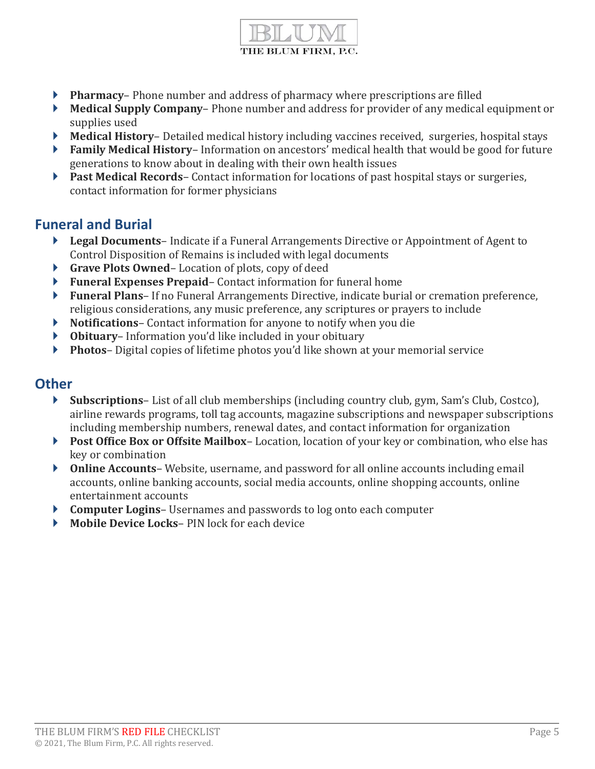

- **Pharmacy–** Phone number and address of pharmacy where prescriptions are filled
- Medical Supply Company– Phone number and address for provider of any medical equipment or supplies used
- Medical History– Detailed medical history including vaccines received, surgeries, hospital stays
- ▶ Family Medical History– Information on ancestors' medical health that would be good for future generations to know about in dealing with their own health issues
- Past Medical Records– Contact information for locations of past hospital stays or surgeries, contact information for former physicians

## Funeral and Burial

- ▶ Legal Documents– Indicate if a Funeral Arrangements Directive or Appointment of Agent to Control Disposition of Remains is included with legal documents
- ▶ Grave Plots Owned–Location of plots, copy of deed
- ▶ Funeral Expenses Prepaid– Contact information for funeral home
- Funeral Plans– If no Funeral Arrangements Directive, indicate burial or cremation preference, religious considerations, any music preference, any scriptures or prayers to include
- ▶ Notifications– Contact information for anyone to notify when you die
- Obituary– Information you'd like included in your obituary
- ▶ Photos– Digital copies of lifetime photos you'd like shown at your memorial service

#### **Other**

- Subscriptions– List of all club memberships (including country club, gym, Sam's Club, Costco), airline rewards programs, toll tag accounts, magazine subscriptions and newspaper subscriptions including membership numbers, renewal dates, and contact information for organization
- Post Office Box or Offsite Mailbox–Location, location of your key or combination, who else has key or combination
- ▶ Online Accounts– Website, username, and password for all online accounts including email accounts, online banking accounts, social media accounts, online shopping accounts, online entertainment accounts
- ▶ **Computer Logins** Usernames and passwords to log onto each computer
- Mobile Device Locks– PIN lock for each device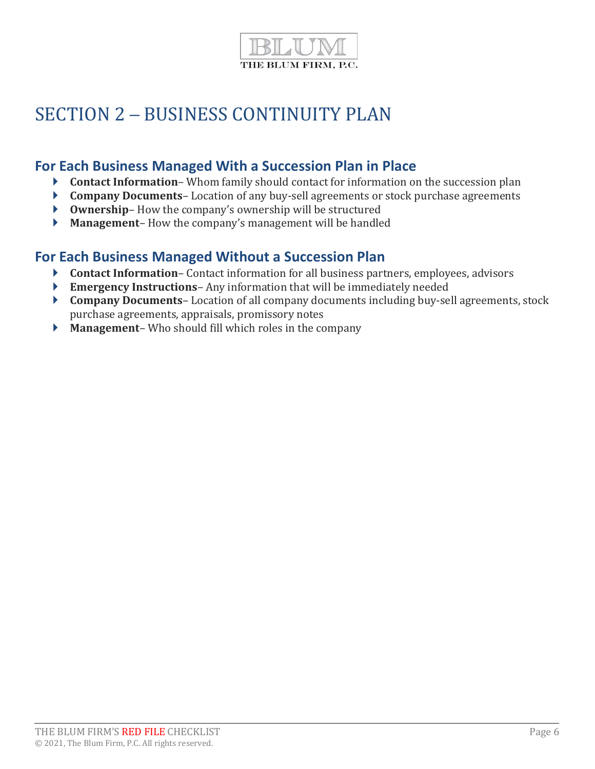

## SECTION 2 – BUSINESS CONTINUITY PLAN

## For Each Business Managed With a Succession Plan in Place

- ▶ Contact Information– Whom family should contact for information on the succession plan
- ▶ Company Documents-Location of any buy-sell agreements or stock purchase agreements
- Ownership– How the company's ownership will be structured
- Management– How the company's management will be handled

## For Each Business Managed Without a Succession Plan

- ▶ Contact Information– Contact information for all business partners, employees, advisors
- Emergency Instructions– Any information that will be immediately needed
- ▶ Company Documents– Location of all company documents including buy-sell agreements, stock purchase agreements, appraisals, promissory notes
- **Management** Who should fill which roles in the company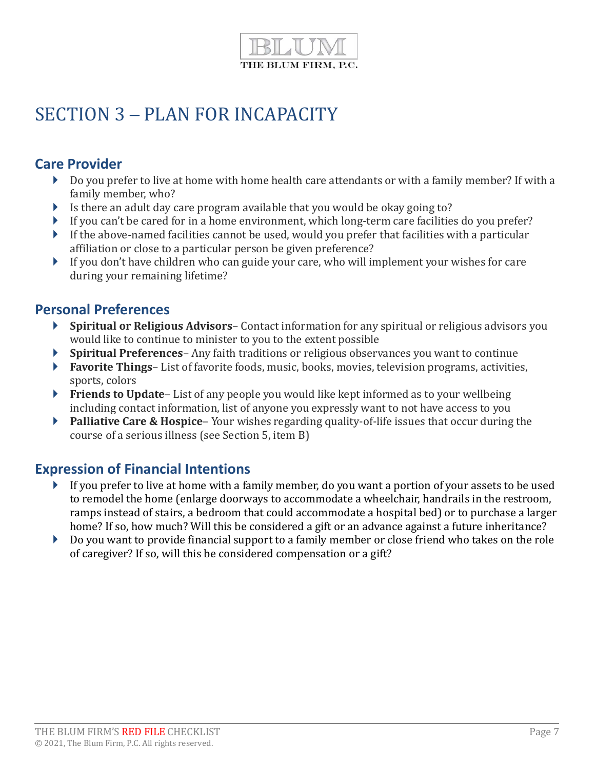

## SECTION 3 – PLAN FOR INCAPACITY

## Care Provider

- Do you prefer to live at home with home health care attendants or with a family member? If with a family member, who?
- Is there an adult day care program available that you would be okay going to?
- If you can't be cared for in a home environment, which long-term care facilities do you prefer?
- If the above-named facilities cannot be used, would you prefer that facilities with a particular affiliation or close to a particular person be given preference?
- If you don't have children who can guide your care, who will implement your wishes for care during your remaining lifetime?

#### Personal Preferences

- Spiritual or Religious Advisors– Contact information for any spiritual or religious advisors you would like to continue to minister to you to the extent possible
- Spiritual Preferences– Any faith traditions or religious observances you want to continue
- **Favorite Things** List of favorite foods, music, books, movies, television programs, activities, sports, colors
- **Friends to Update-** List of any people you would like kept informed as to your wellbeing including contact information, list of anyone you expressly want to not have access to you
- **Palliative Care & Hospice** Your wishes regarding quality-of-life issues that occur during the course of a serious illness (see Section 5, item B)

## Expression of Financial Intentions

- If you prefer to live at home with a family member, do you want a portion of your assets to be used to remodel the home (enlarge doorways to accommodate a wheelchair, handrails in the restroom, ramps instead of stairs, a bedroom that could accommodate a hospital bed) or to purchase a larger home? If so, how much? Will this be considered a gift or an advance against a future inheritance?
- Do you want to provide financial support to a family member or close friend who takes on the role of caregiver? If so, will this be considered compensation or a gift?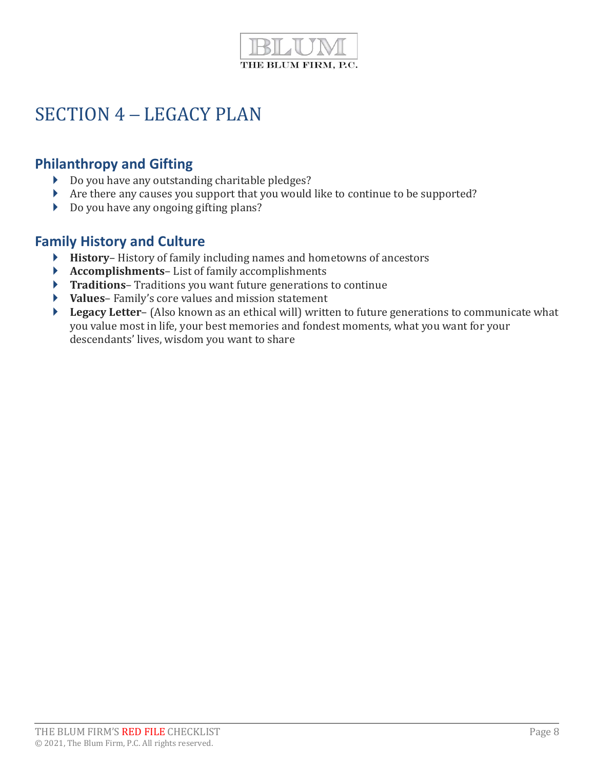

## SECTION 4 – LEGACY PLAN

## Philanthropy and Gifting

- Do you have any outstanding charitable pledges?
- Are there any causes you support that you would like to continue to be supported?
- Do you have any ongoing gifting plans?

## Family History and Culture

- History– History of family including names and hometowns of ancestors
- Accomplishments– List of family accomplishments
- ▶ Traditions– Traditions you want future generations to continue
- Values– Family's core values and mission statement
- **Legacy Letter-** (Also known as an ethical will) written to future generations to communicate what you value most in life, your best memories and fondest moments, what you want for your descendants' lives, wisdom you want to share